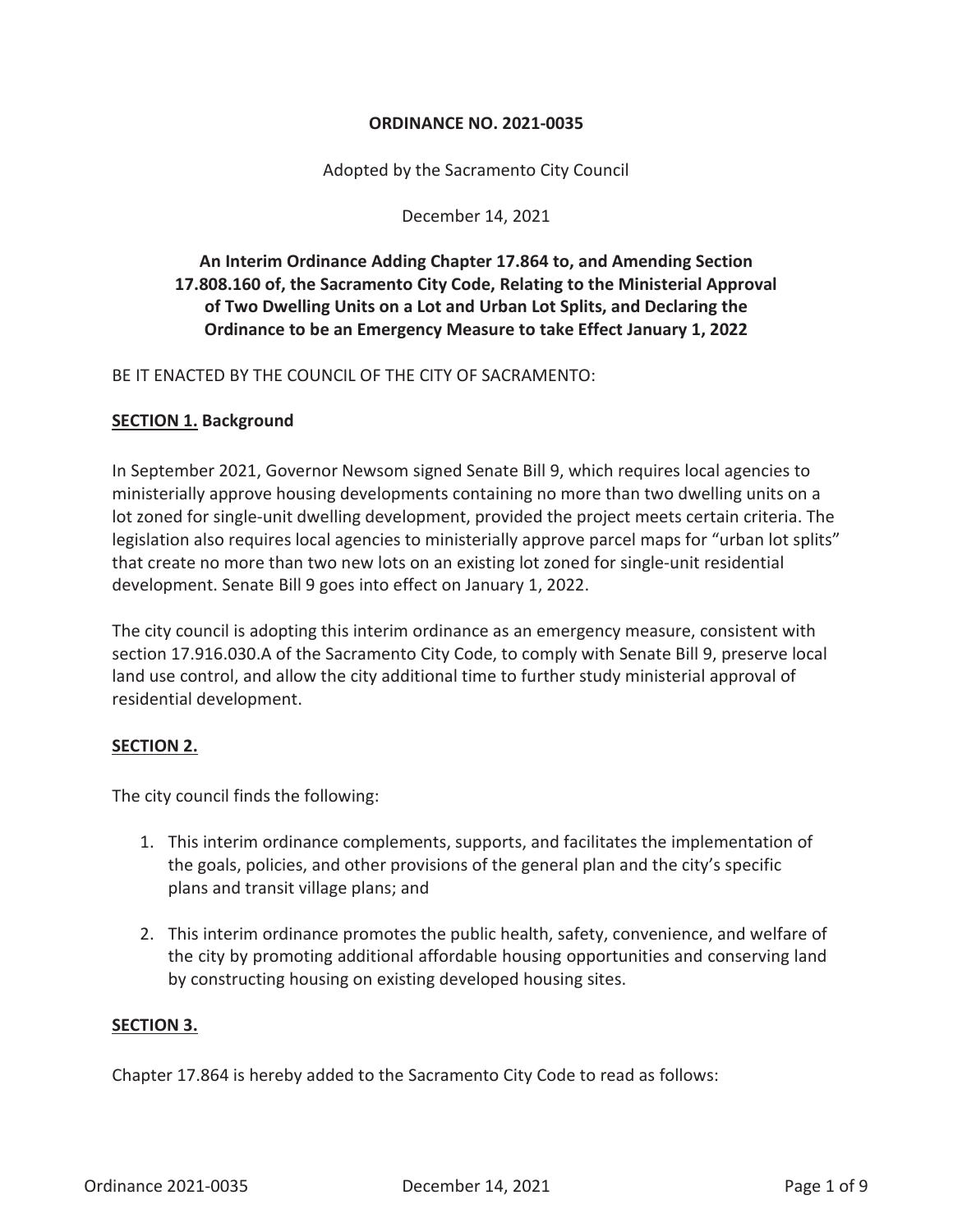#### **ORDINANCE NO. 2021-0035**

Adopted by the Sacramento City Council

December 14, 2021

# **An Interim Ordinance Adding Chapter 17.864 to, and Amending Section 17.808.160 of, the Sacramento City Code, Relating to the Ministerial Approval of Two Dwelling Units on a Lot and Urban Lot Splits, and Declaring the Ordinance to be an Emergency Measure to take Effect January 1, 2022**

BE IT ENACTED BY THE COUNCIL OF THE CITY OF SACRAMENTO:

#### **SECTION 1. Background**

In September 2021, Governor Newsom signed Senate Bill 9, which requires local agencies to ministerially approve housing developments containing no more than two dwelling units on a lot zoned for single-unit dwelling development, provided the project meets certain criteria. The legislation also requires local agencies to ministerially approve parcel maps for "urban lot splits" that create no more than two new lots on an existing lot zoned for single-unit residential development. Senate Bill 9 goes into effect on January 1, 2022.

The city council is adopting this interim ordinance as an emergency measure, consistent with section 17.916.030.A of the Sacramento City Code, to comply with Senate Bill 9, preserve local land use control, and allow the city additional time to further study ministerial approval of residential development.

#### **SECTION 2.**

The city council finds the following:

- 1. This interim ordinance complements, supports, and facilitates the implementation of the goals, policies, and other provisions of the general plan and the city's specific plans and transit village plans; and
- 2. This interim ordinance promotes the public health, safety, convenience, and welfare of the city by promoting additional affordable housing opportunities and conserving land by constructing housing on existing developed housing sites.

#### **SECTION 3.**

Chapter 17.864 is hereby added to the Sacramento City Code to read as follows: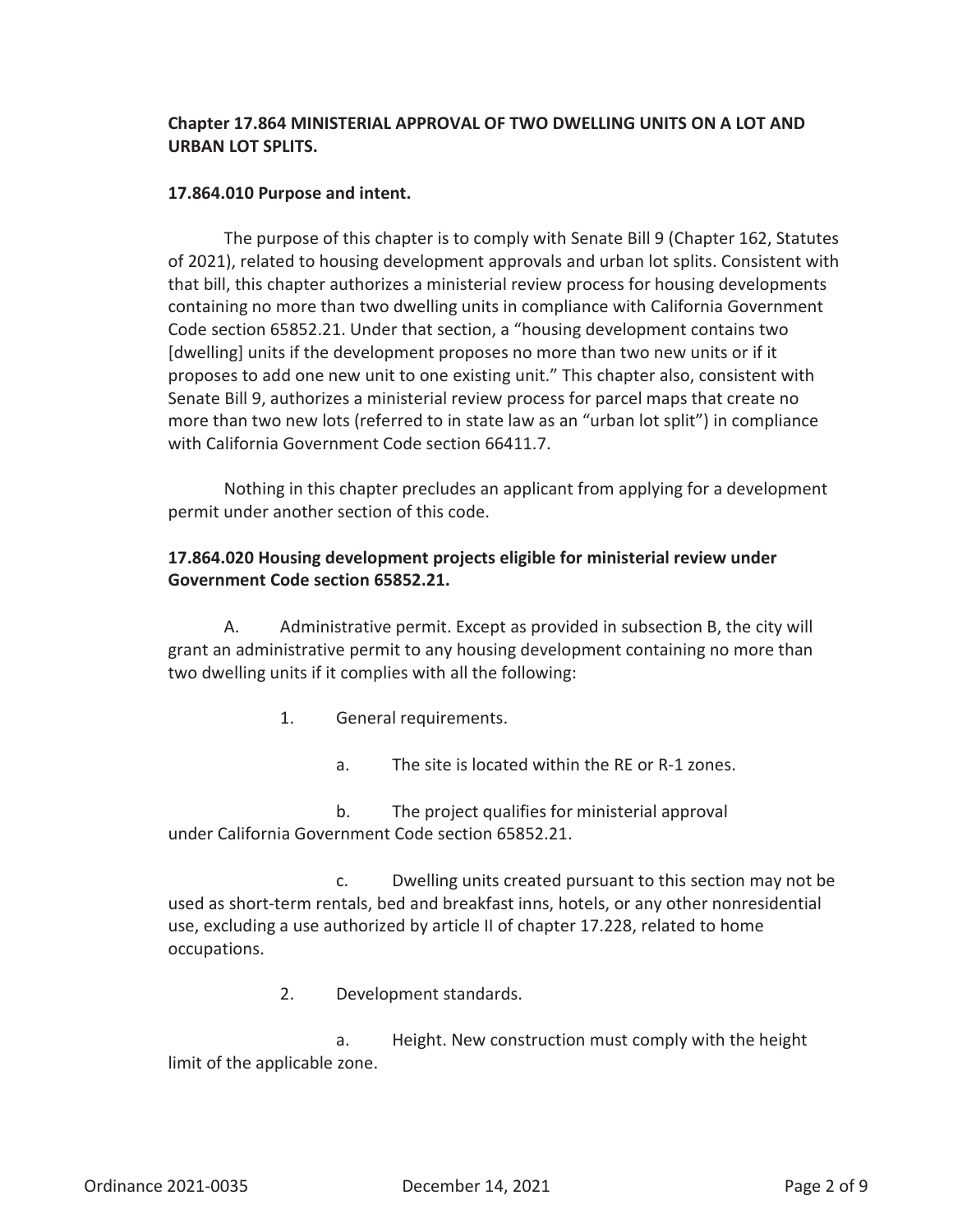# **Chapter 17.864 MINISTERIAL APPROVAL OF TWO DWELLING UNITS ON A LOT AND URBAN LOT SPLITS.**

#### **17.864.010 Purpose and intent.**

The purpose of this chapter is to comply with Senate Bill 9 (Chapter 162, Statutes of 2021), related to housing development approvals and urban lot splits. Consistent with that bill, this chapter authorizes a ministerial review process for housing developments containing no more than two dwelling units in compliance with California Government Code section 65852.21. Under that section, a "housing development contains two [dwelling] units if the development proposes no more than two new units or if it proposes to add one new unit to one existing unit." This chapter also, consistent with Senate Bill 9, authorizes a ministerial review process for parcel maps that create no more than two new lots (referred to in state law as an "urban lot split") in compliance with California Government Code section 66411.7.

Nothing in this chapter precludes an applicant from applying for a development permit under another section of this code.

### **17.864.020 Housing development projects eligible for ministerial review under Government Code section 65852.21.**

A. Administrative permit. Except as provided in subsection B, the city will grant an administrative permit to any housing development containing no more than two dwelling units if it complies with all the following:

- 1. General requirements.
	- a. The site is located within the RE or R-1 zones.

b. The project qualifies for ministerial approval under California Government Code section 65852.21.

c. Dwelling units created pursuant to this section may not be used as short-term rentals, bed and breakfast inns, hotels, or any other nonresidential use, excluding a use authorized by article II of chapter 17.228, related to home occupations.

2. Development standards.

a. Height. New construction must comply with the height limit of the applicable zone.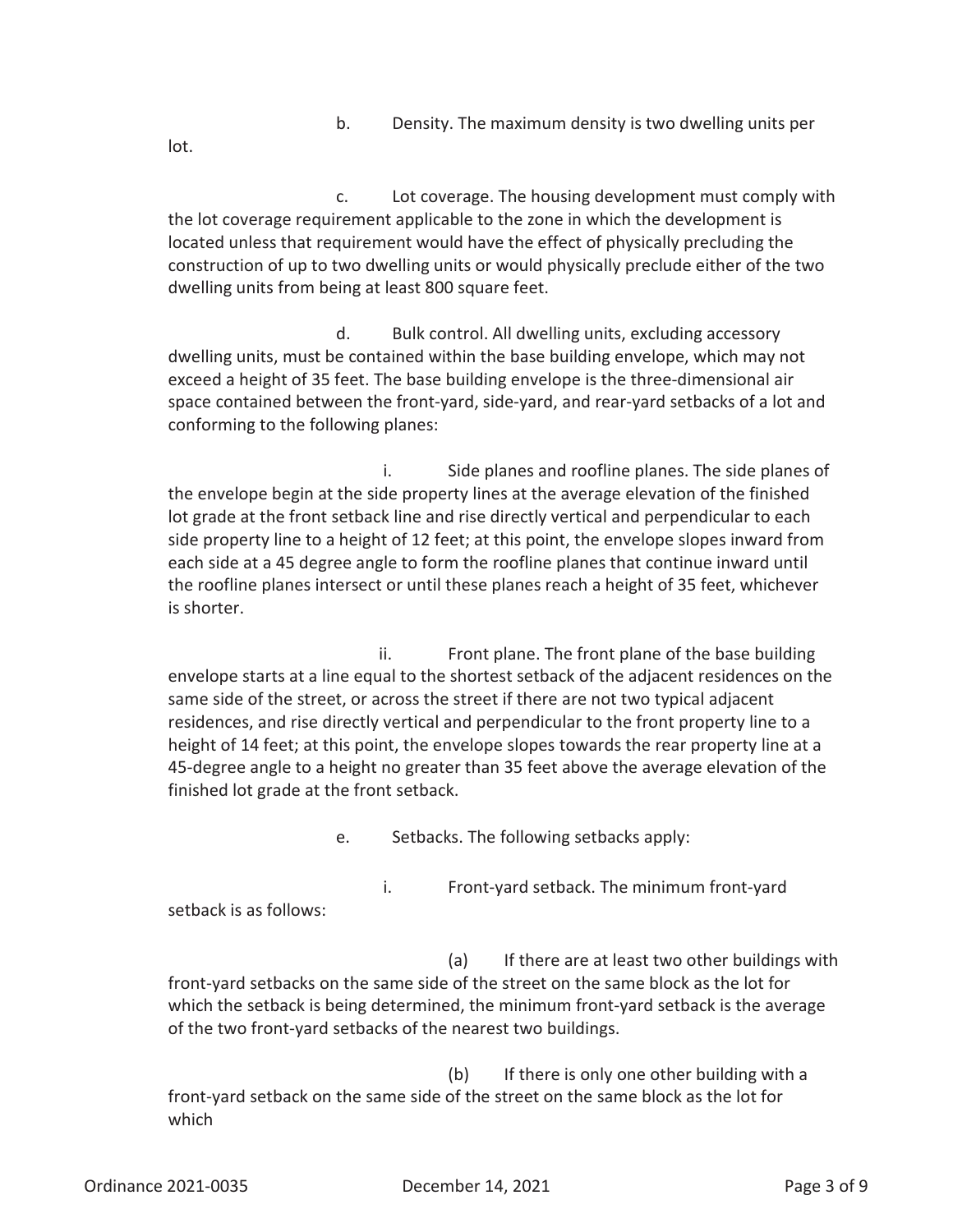b. Density. The maximum density is two dwelling units per

lot.

c. Lot coverage. The housing development must comply with the lot coverage requirement applicable to the zone in which the development is located unless that requirement would have the effect of physically precluding the construction of up to two dwelling units or would physically preclude either of the two dwelling units from being at least 800 square feet.

d. Bulk control. All dwelling units, excluding accessory dwelling units, must be contained within the base building envelope, which may not exceed a height of 35 feet. The base building envelope is the three-dimensional air space contained between the front-yard, side-yard, and rear-yard setbacks of a lot and conforming to the following planes:

i. Side planes and roofline planes. The side planes of the envelope begin at the side property lines at the average elevation of the finished lot grade at the front setback line and rise directly vertical and perpendicular to each side property line to a height of 12 feet; at this point, the envelope slopes inward from each side at a 45 degree angle to form the roofline planes that continue inward until the roofline planes intersect or until these planes reach a height of 35 feet, whichever is shorter.

ii. Front plane. The front plane of the base building envelope starts at a line equal to the shortest setback of the adjacent residences on the same side of the street, or across the street if there are not two typical adjacent residences, and rise directly vertical and perpendicular to the front property line to a height of 14 feet; at this point, the envelope slopes towards the rear property line at a 45-degree angle to a height no greater than 35 feet above the average elevation of the finished lot grade at the front setback.

e. Setbacks. The following setbacks apply:

i. Front-yard setback. The minimum front-yard setback is as follows:

(a) If there are at least two other buildings with front-yard setbacks on the same side of the street on the same block as the lot for which the setback is being determined, the minimum front-yard setback is the average of the two front-yard setbacks of the nearest two buildings.

(b) If there is only one other building with a front-yard setback on the same side of the street on the same block as the lot for which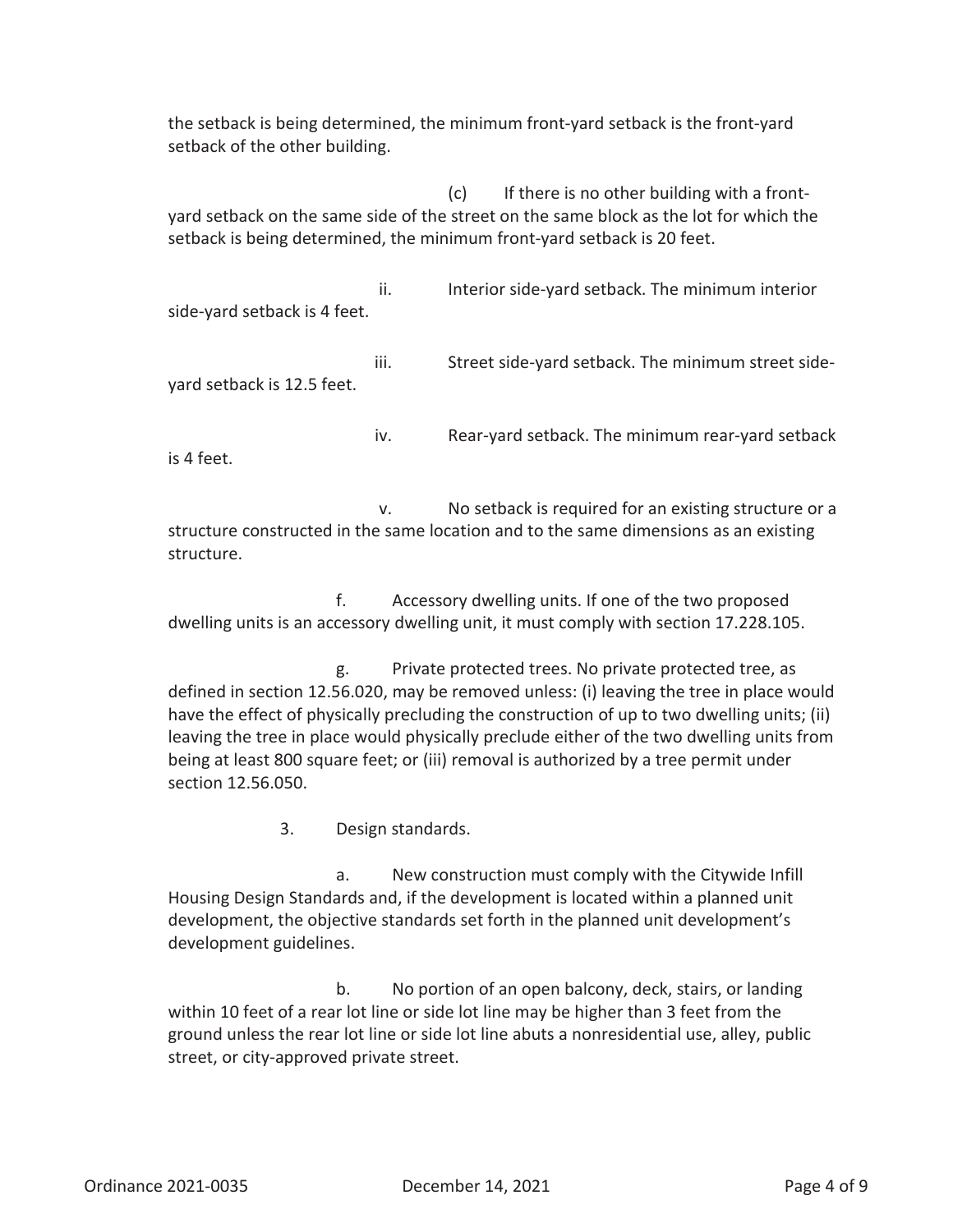the setback is being determined, the minimum front-yard setback is the front-yard setback of the other building.

(c) If there is no other building with a frontyard setback on the same side of the street on the same block as the lot for which the setback is being determined, the minimum front-yard setback is 20 feet.

ii. Interior side-yard setback. The minimum interior side-yard setback is 4 feet.

iii. Street side-yard setback. The minimum street sideyard setback is 12.5 feet.

iv. Rear-yard setback. The minimum rear-yard setback is 4 feet.

v. No setback is required for an existing structure or a structure constructed in the same location and to the same dimensions as an existing structure.

f. Accessory dwelling units. If one of the two proposed dwelling units is an accessory dwelling unit, it must comply with section 17.228.105.

g. Private protected trees. No private protected tree, as defined in section 12.56.020, may be removed unless: (i) leaving the tree in place would have the effect of physically precluding the construction of up to two dwelling units; (ii) leaving the tree in place would physically preclude either of the two dwelling units from being at least 800 square feet; or (iii) removal is authorized by a tree permit under section 12.56.050.

3. Design standards.

a. New construction must comply with the Citywide Infill Housing Design Standards and, if the development is located within a planned unit development, the objective standards set forth in the planned unit development's development guidelines.

b. No portion of an open balcony, deck, stairs, or landing within 10 feet of a rear lot line or side lot line may be higher than 3 feet from the ground unless the rear lot line or side lot line abuts a nonresidential use, alley, public street, or city-approved private street.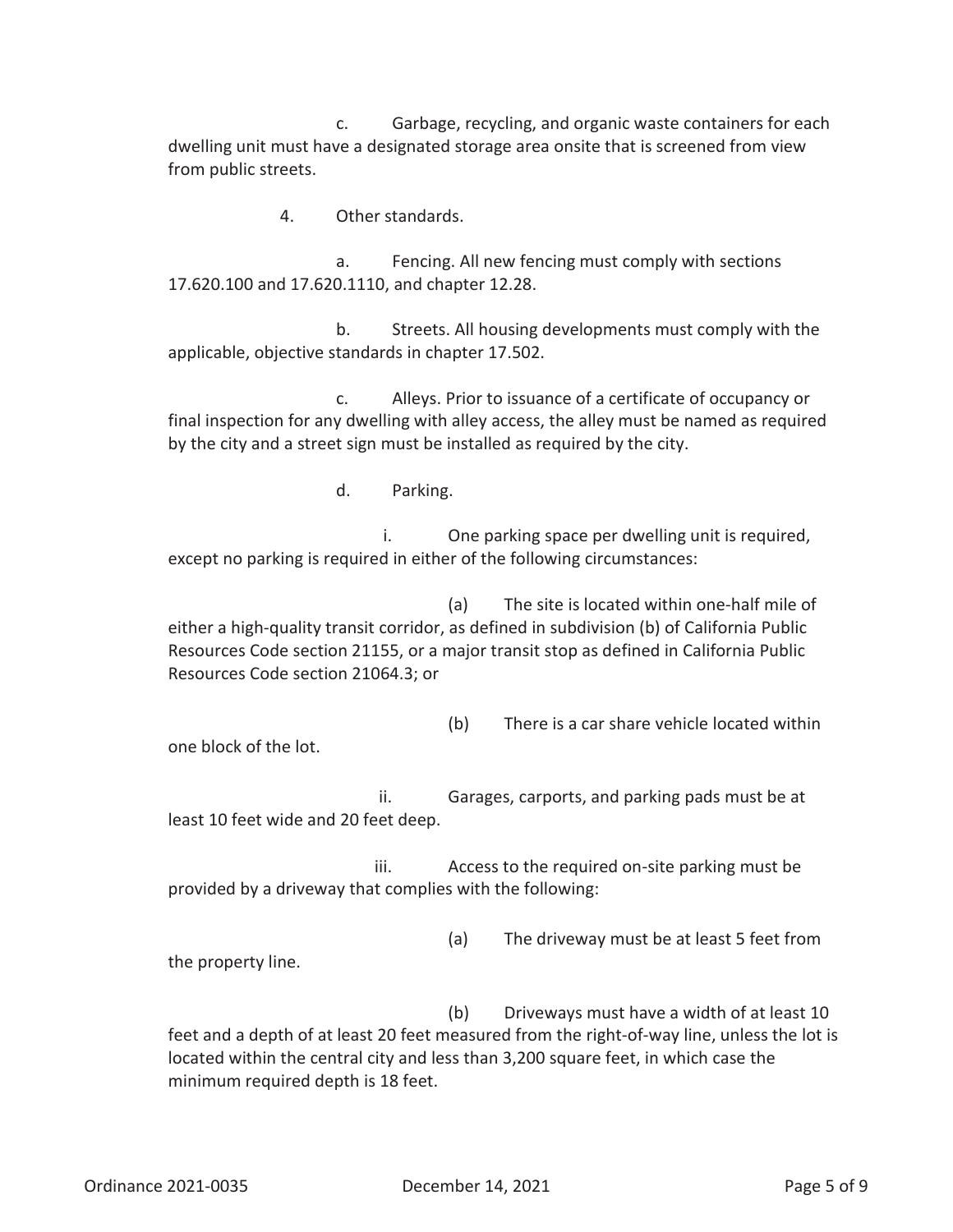c. Garbage, recycling, and organic waste containers for each dwelling unit must have a designated storage area onsite that is screened from view from public streets.

4. Other standards.

a. Fencing. All new fencing must comply with sections 17.620.100 and 17.620.1110, and chapter 12.28.

b. Streets. All housing developments must comply with the applicable, objective standards in chapter 17.502.

c. Alleys. Prior to issuance of a certificate of occupancy or final inspection for any dwelling with alley access, the alley must be named as required by the city and a street sign must be installed as required by the city.

d. Parking.

i. One parking space per dwelling unit is required, except no parking is required in either of the following circumstances:

(a) The site is located within one-half mile of either a high-quality transit corridor, as defined in subdivision (b) of California Public Resources Code section 21155, or a major transit stop as defined in California Public Resources Code section 21064.3; or

(b) There is a car share vehicle located within

one block of the lot.

the property line.

ii. Garages, carports, and parking pads must be at least 10 feet wide and 20 feet deep.

iii. Access to the required on-site parking must be provided by a driveway that complies with the following:

(a) The driveway must be at least 5 feet from

(b) Driveways must have a width of at least 10 feet and a depth of at least 20 feet measured from the right-of-way line, unless the lot is located within the central city and less than 3,200 square feet, in which case the minimum required depth is 18 feet.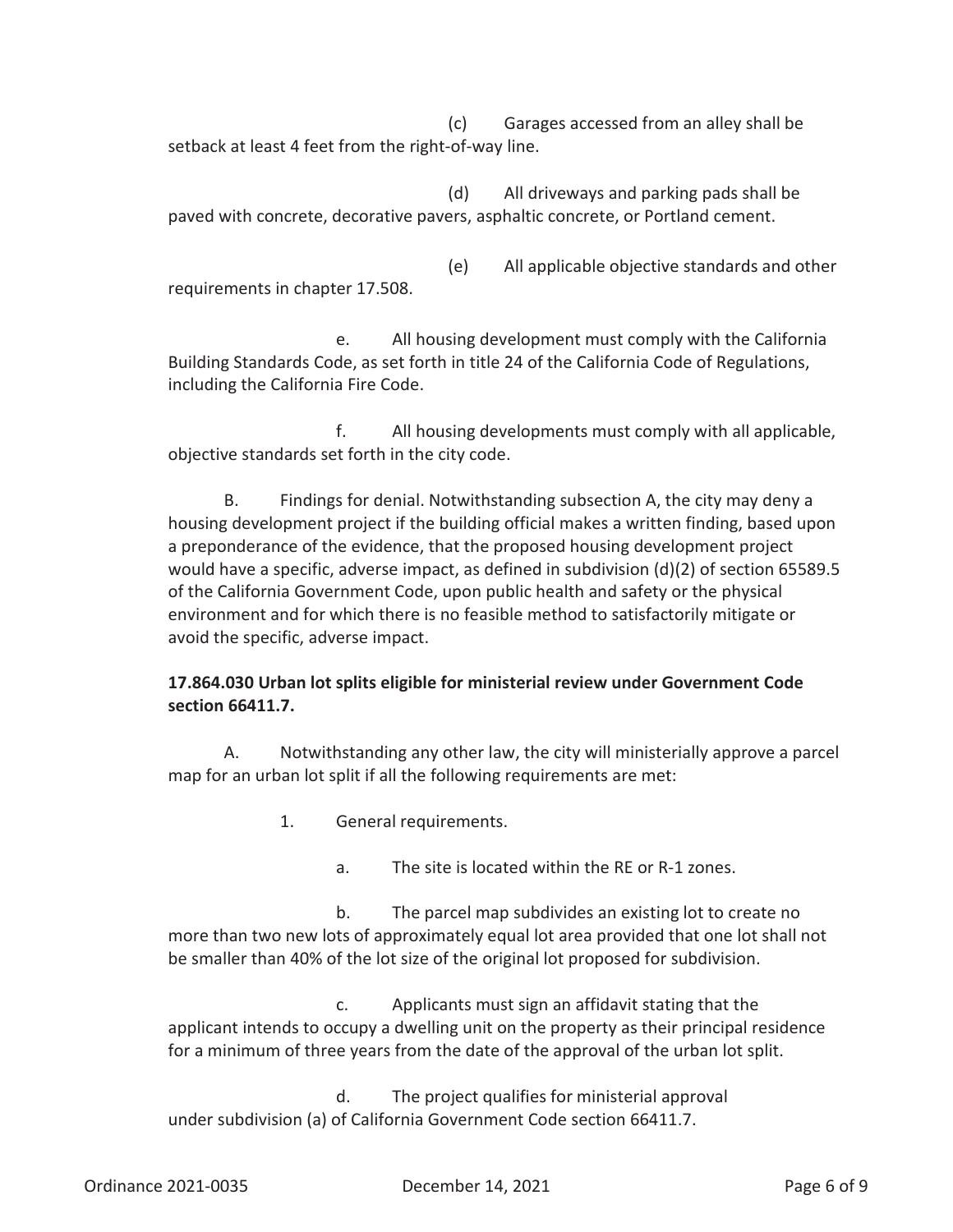(c) Garages accessed from an alley shall be setback at least 4 feet from the right-of-way line.

(d) All driveways and parking pads shall be paved with concrete, decorative pavers, asphaltic concrete, or Portland cement.

(e) All applicable objective standards and other requirements in chapter 17.508.

e. All housing development must comply with the California Building Standards Code, as set forth in title 24 of the California Code of Regulations, including the California Fire Code.

f. All housing developments must comply with all applicable, objective standards set forth in the city code.

B. Findings for denial. Notwithstanding subsection A, the city may deny a housing development project if the building official makes a written finding, based upon a preponderance of the evidence, that the proposed housing development project would have a specific, adverse impact, as defined in subdivision (d)(2) of section 65589.5 of the California Government Code, upon public health and safety or the physical environment and for which there is no feasible method to satisfactorily mitigate or avoid the specific, adverse impact.

# **17.864.030 Urban lot splits eligible for ministerial review under Government Code section 66411.7.**

A. Notwithstanding any other law, the city will ministerially approve a parcel map for an urban lot split if all the following requirements are met:

- 1. General requirements.
	- a. The site is located within the RE or R-1 zones.

b. The parcel map subdivides an existing lot to create no more than two new lots of approximately equal lot area provided that one lot shall not be smaller than 40% of the lot size of the original lot proposed for subdivision.

c. Applicants must sign an affidavit stating that the applicant intends to occupy a dwelling unit on the property as their principal residence for a minimum of three years from the date of the approval of the urban lot split.

d. The project qualifies for ministerial approval under subdivision (a) of California Government Code section 66411.7.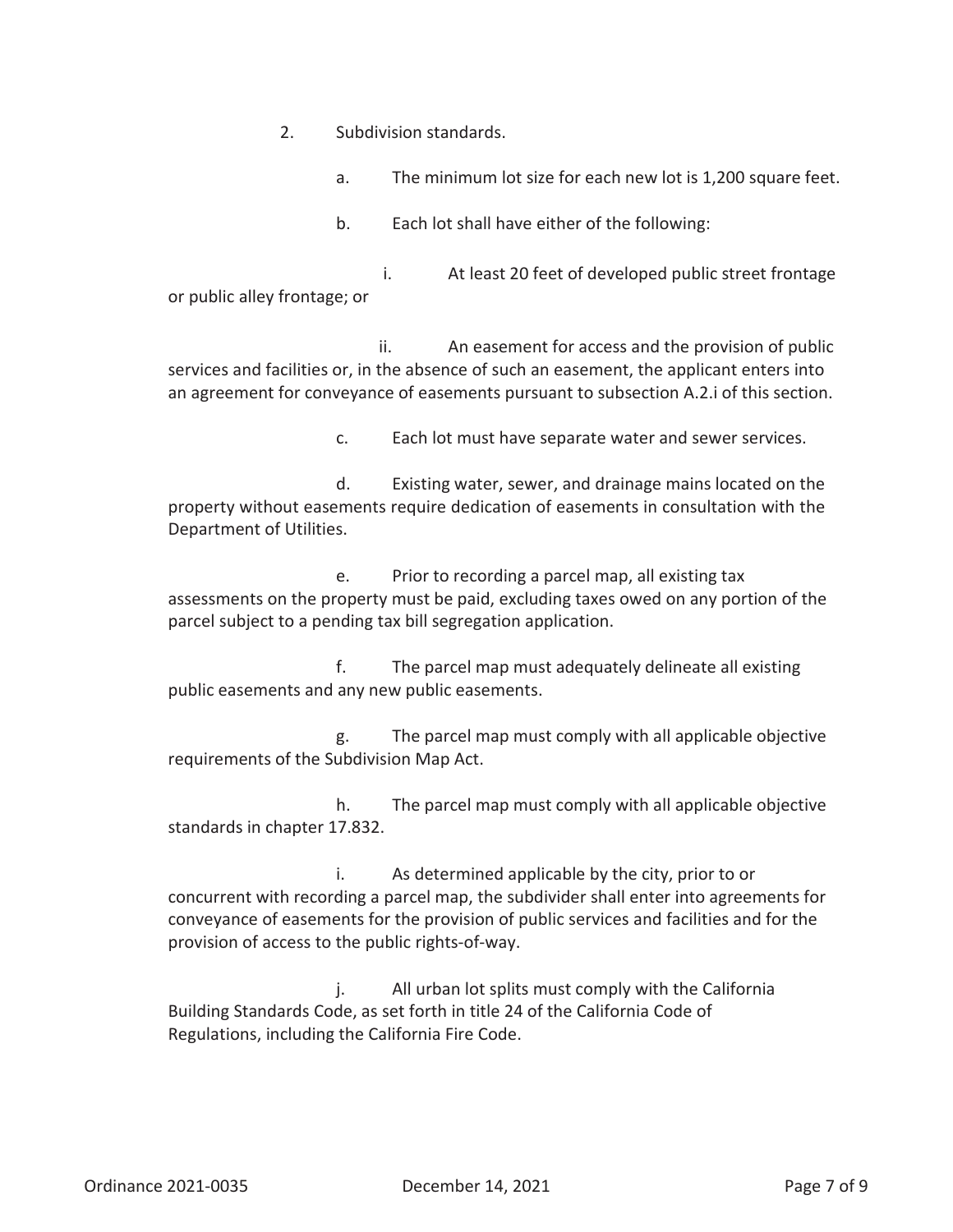- 2. Subdivision standards.
	- a. The minimum lot size for each new lot is 1,200 square feet.
	- b. Each lot shall have either of the following:

i. At least 20 feet of developed public street frontage or public alley frontage; or

ii. An easement for access and the provision of public services and facilities or, in the absence of such an easement, the applicant enters into an agreement for conveyance of easements pursuant to subsection A.2.i of this section.

c. Each lot must have separate water and sewer services.

d. Existing water, sewer, and drainage mains located on the property without easements require dedication of easements in consultation with the Department of Utilities.

e. Prior to recording a parcel map, all existing tax assessments on the property must be paid, excluding taxes owed on any portion of the parcel subject to a pending tax bill segregation application.

f. The parcel map must adequately delineate all existing public easements and any new public easements.

g. The parcel map must comply with all applicable objective requirements of the Subdivision Map Act.

h. The parcel map must comply with all applicable objective standards in chapter 17.832.

i. As determined applicable by the city, prior to or concurrent with recording a parcel map, the subdivider shall enter into agreements for conveyance of easements for the provision of public services and facilities and for the provision of access to the public rights-of-way.

j. All urban lot splits must comply with the California Building Standards Code, as set forth in title 24 of the California Code of Regulations, including the California Fire Code.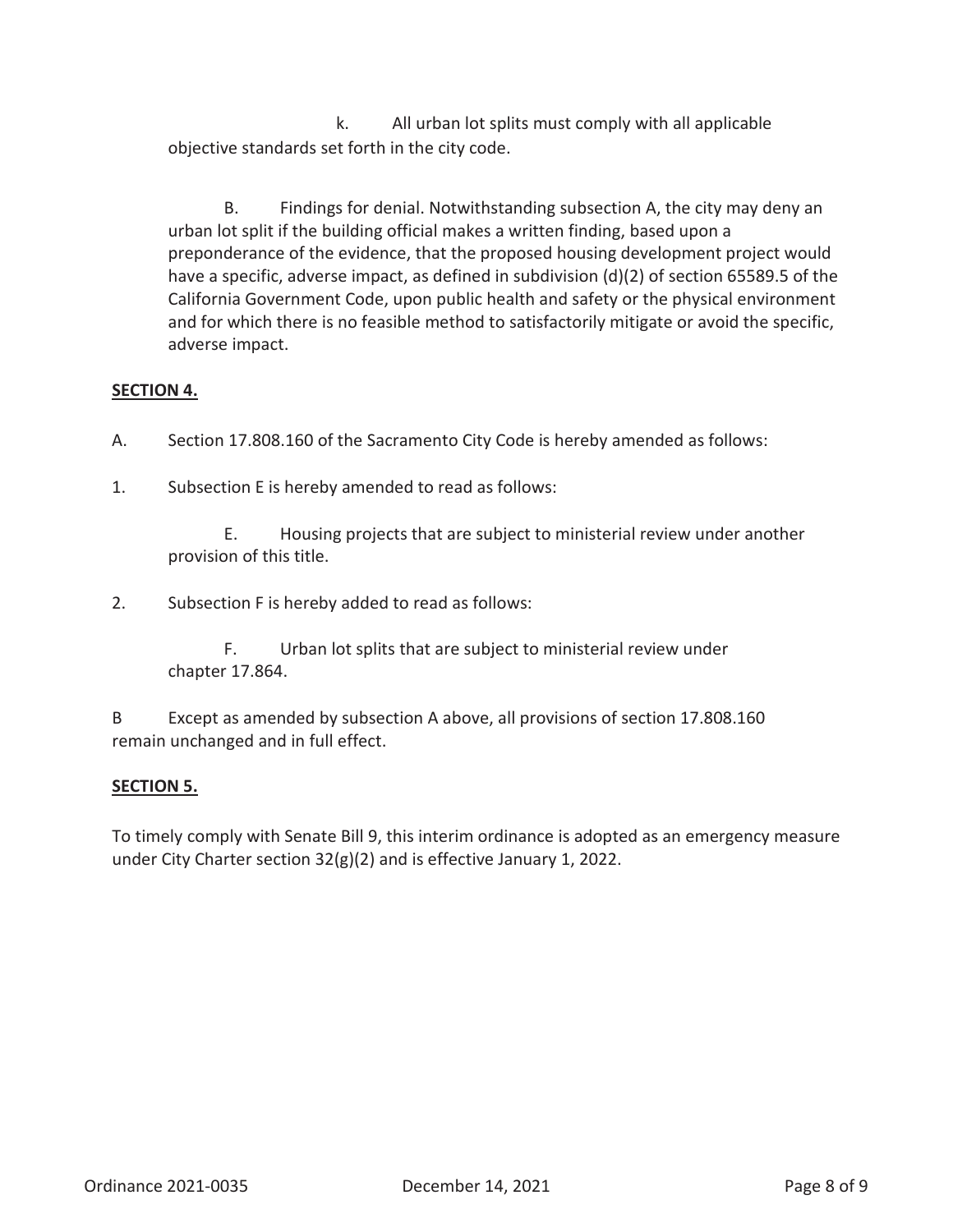k. All urban lot splits must comply with all applicable objective standards set forth in the city code.

B. Findings for denial. Notwithstanding subsection A, the city may deny an urban lot split if the building official makes a written finding, based upon a preponderance of the evidence, that the proposed housing development project would have a specific, adverse impact, as defined in subdivision (d)(2) of section 65589.5 of the California Government Code, upon public health and safety or the physical environment and for which there is no feasible method to satisfactorily mitigate or avoid the specific, adverse impact.

# **SECTION 4.**

- A. Section 17.808.160 of the Sacramento City Code is hereby amended as follows:
- 1. Subsection E is hereby amended to read as follows:

E. Housing projects that are subject to ministerial review under another provision of this title.

2. Subsection F is hereby added to read as follows:

F. Urban lot splits that are subject to ministerial review under chapter 17.864.

B Except as amended by subsection A above, all provisions of section 17.808.160 remain unchanged and in full effect.

# **SECTION 5.**

To timely comply with Senate Bill 9, this interim ordinance is adopted as an emergency measure under City Charter section 32(g)(2) and is effective January 1, 2022.